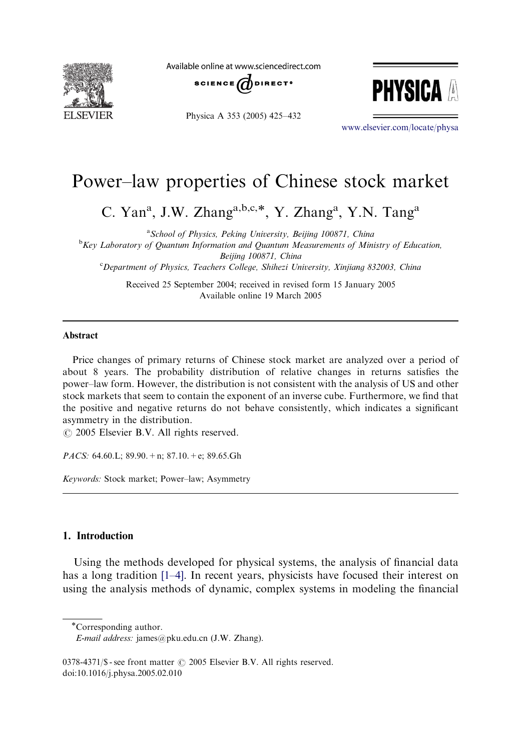

Available online at www.sciencedirect.com





Physica A 353 (2005) 425–432

<www.elsevier.com/locate/physa>

## Power–law properties of Chinese stock market

C. Yan<sup>a</sup>, J.W. Zhang<sup>a,b,c,\*</sup>, Y. Zhang<sup>a</sup>, Y.N. Tang<sup>a</sup>

<sup>a</sup> School of Physics, Peking University, Beijing 100871, China <sup>b</sup>Key Laboratory of Quantum Information and Quantum Measurements of Ministry of Education,

Beijing 100871, China

<sup>c</sup>Department of Physics, Teachers College, Shihezi University, Xinjiang 832003, China

Received 25 September 2004; received in revised form 15 January 2005 Available online 19 March 2005

#### Abstract

Price changes of primary returns of Chinese stock market are analyzed over a period of about 8 years. The probability distribution of relative changes in returns satisfies the power–law form. However, the distribution is not consistent with the analysis of US and other stock markets that seem to contain the exponent of an inverse cube. Furthermore, we find that the positive and negative returns do not behave consistently, which indicates a significant asymmetry in the distribution.

 $\odot$  2005 Elsevier B.V. All rights reserved.

PACS: 64.60.L; 89.90.+n; 87.10.+e; 89.65.Gh

Keywords: Stock market; Power–law; Asymmetry

### 1. Introduction

Using the methods developed for physical systems, the analysis of financial data has a long tradition [\[1–4\]](#page--1-0). In recent years, physicists have focused their interest on using the analysis methods of dynamic, complex systems in modeling the financial

Corresponding author.

E-mail address: james@pku.edu.cn (J.W. Zhang).

 $0378-4371/\$ S - see front matter  $\odot$  2005 Elsevier B.V. All rights reserved. doi:10.1016/j.physa.2005.02.010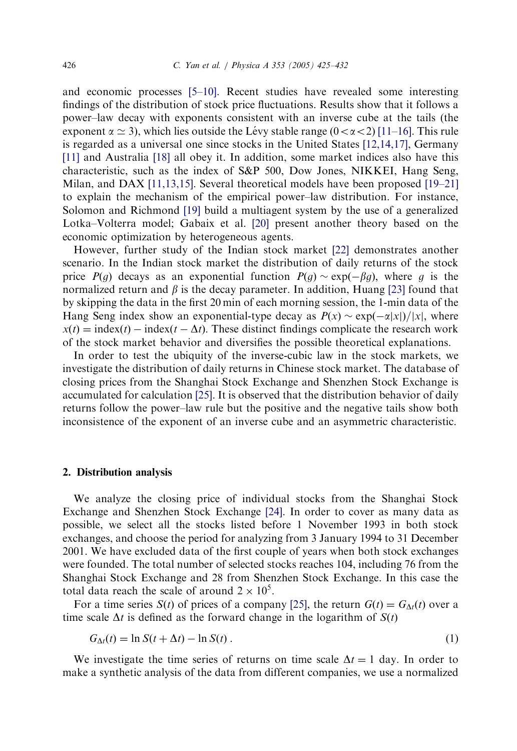and economic processes [\[5–10\]](#page--1-0). Recent studies have revealed some interesting findings of the distribution of stock price fluctuations. Results show that it follows a power–law decay with exponents consistent with an inverse cube at the tails (the exponent  $\alpha \simeq 3$ ), which lies outside the Lévy stable range  $(0<\alpha<2)$  [\[11–16\].](#page--1-0) This rule is regarded as a universal one since stocks in the United States [\[12,14,17\]](#page--1-0), Germany [\[11\]](#page--1-0) and Australia [\[18\]](#page--1-0) all obey it. In addition, some market indices also have this characteristic, such as the index of S&P 500, Dow Jones, NIKKEI, Hang Seng, Milan, and DAX [\[11,13,15\]](#page--1-0). Several theoretical models have been proposed [\[19–21\]](#page--1-0) to explain the mechanism of the empirical power–law distribution. For instance, Solomon and Richmond [\[19\]](#page--1-0) build a multiagent system by the use of a generalized Lotka–Volterra model; Gabaix et al. [\[20\]](#page--1-0) present another theory based on the economic optimization by heterogeneous agents.

However, further study of the Indian stock market [\[22\]](#page--1-0) demonstrates another scenario. In the Indian stock market the distribution of daily returns of the stock price  $P(g)$  decays as an exponential function  $P(g) \sim \exp(-\beta g)$ , where g is the normalized return and  $\beta$  is the decay parameter. In addition, Huang [\[23\]](#page--1-0) found that by skipping the data in the first 20 min of each morning session, the 1-min data of the Hang Seng index show an exponential-type decay as  $P(x) \sim \exp(-\alpha |x|)/|x|$ , where  $x(t) = \text{index}(t - \Delta t)$ . These distinct findings complicate the research work of the stock market behavior and diversifies the possible theoretical explanations.

In order to test the ubiquity of the inverse-cubic law in the stock markets, we investigate the distribution of daily returns in Chinese stock market. The database of closing prices from the Shanghai Stock Exchange and Shenzhen Stock Exchange is accumulated for calculation [\[25\]](#page--1-0). It is observed that the distribution behavior of daily returns follow the power–law rule but the positive and the negative tails show both inconsistence of the exponent of an inverse cube and an asymmetric characteristic.

#### 2. Distribution analysis

We analyze the closing price of individual stocks from the Shanghai Stock Exchange and Shenzhen Stock Exchange [\[24\].](#page--1-0) In order to cover as many data as possible, we select all the stocks listed before 1 November 1993 in both stock exchanges, and choose the period for analyzing from 3 January 1994 to 31 December 2001. We have excluded data of the first couple of years when both stock exchanges were founded. The total number of selected stocks reaches 104, including 76 from the Shanghai Stock Exchange and 28 from Shenzhen Stock Exchange. In this case the total data reach the scale of around  $2 \times 10^5$ .

For a time series  $S(t)$  of prices of a company [\[25\]](#page--1-0), the return  $G(t) = G_{\Delta t}(t)$  over a time scale  $\Delta t$  is defined as the forward change in the logarithm of  $S(t)$ 

$$
G_{\Delta t}(t) = \ln S(t + \Delta t) - \ln S(t) \tag{1}
$$

We investigate the time series of returns on time scale  $\Delta t = 1$  day. In order to make a synthetic analysis of the data from different companies, we use a normalized